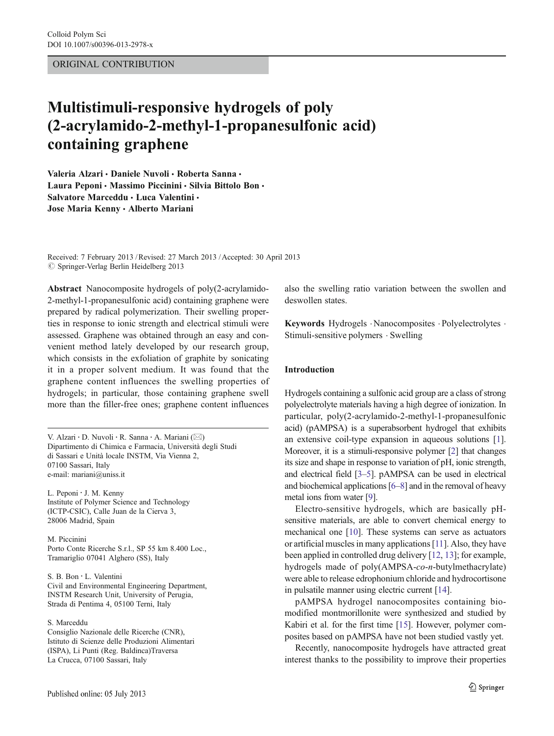## ORIGINAL CONTRIBUTION

# Multistimuli-responsive hydrogels of poly (2-acrylamido-2-methyl-1-propanesulfonic acid) containing graphene

Valeria Alzari · Daniele Nuvoli · Roberta Sanna · Laura Peponi · Massimo Piccinini · Silvia Bittolo Bon · Salvatore Marceddu · Luca Valentini · Jose Maria Kenny & Alberto Mariani

Received: 7 February 2013 /Revised: 27 March 2013 /Accepted: 30 April 2013  $\oslash$  Springer-Verlag Berlin Heidelberg 2013

Abstract Nanocomposite hydrogels of poly(2-acrylamido-2-methyl-1-propanesulfonic acid) containing graphene were prepared by radical polymerization. Their swelling properties in response to ionic strength and electrical stimuli were assessed. Graphene was obtained through an easy and convenient method lately developed by our research group, which consists in the exfoliation of graphite by sonicating it in a proper solvent medium. It was found that the graphene content influences the swelling properties of hydrogels; in particular, those containing graphene swell more than the filler-free ones; graphene content influences

V. Alzari · D. Nuvoli · R. Sanna · A. Mariani ( $\boxtimes$ ) Dipartimento di Chimica e Farmacia, Università degli Studi di Sassari e Unità locale INSTM, Via Vienna 2, 07100 Sassari, Italy e-mail: mariani@uniss.it

L. Peponi : J. M. Kenny Institute of Polymer Science and Technology (ICTP-CSIC), Calle Juan de la Cierva 3, 28006 Madrid, Spain

M. Piccinini Porto Conte Ricerche S.r.l., SP 55 km 8.400 Loc., Tramariglio 07041 Alghero (SS), Italy

S. B. Bon : L. Valentini Civil and Environmental Engineering Department, INSTM Research Unit, University of Perugia, Strada di Pentima 4, 05100 Terni, Italy

### S. Marceddu

Consiglio Nazionale delle Ricerche (CNR), Istituto di Scienze delle Produzioni Alimentari (ISPA), Li Punti (Reg. Baldinca)Traversa La Crucca, 07100 Sassari, Italy

also the swelling ratio variation between the swollen and deswollen states.

Keywords Hydrogels · Nanocomposites · Polyelectrolytes · Stimuli-sensitive polymers . Swelling

## Introduction

Hydrogels containing a sulfonic acid group are a class of strong polyelectrolyte materials having a high degree of ionization. In particular, poly(2-acrylamido-2-methyl-1-propanesulfonic acid) (pAMPSA) is a superabsorbent hydrogel that exhibits an extensive coil-type expansion in aqueous solutions [[1\]](#page-5-0). Moreover, it is a stimuli-responsive polymer [\[2\]](#page-5-0) that changes its size and shape in response to variation of pH, ionic strength, and electrical field [\[3](#page-5-0)–[5\]](#page-5-0). pAMPSA can be used in electrical and biochemical applications [[6](#page-5-0)–[8](#page-5-0)] and in the removal of heavy metal ions from water [\[9\]](#page-5-0).

Electro-sensitive hydrogels, which are basically pHsensitive materials, are able to convert chemical energy to mechanical one [\[10\]](#page-5-0). These systems can serve as actuators or artificial muscles in many applications [[11](#page-5-0)]. Also, they have been applied in controlled drug delivery [\[12,](#page-5-0) [13](#page-5-0)]; for example, hydrogels made of poly(AMPSA-co-n-butylmethacrylate) were able to release edrophonium chloride and hydrocortisone in pulsatile manner using electric current [[14](#page-5-0)].

pAMPSA hydrogel nanocomposites containing biomodified montmorillonite were synthesized and studied by Kabiri et al. for the first time [[15\]](#page-5-0). However, polymer composites based on pAMPSA have not been studied vastly yet.

Recently, nanocomposite hydrogels have attracted great interest thanks to the possibility to improve their properties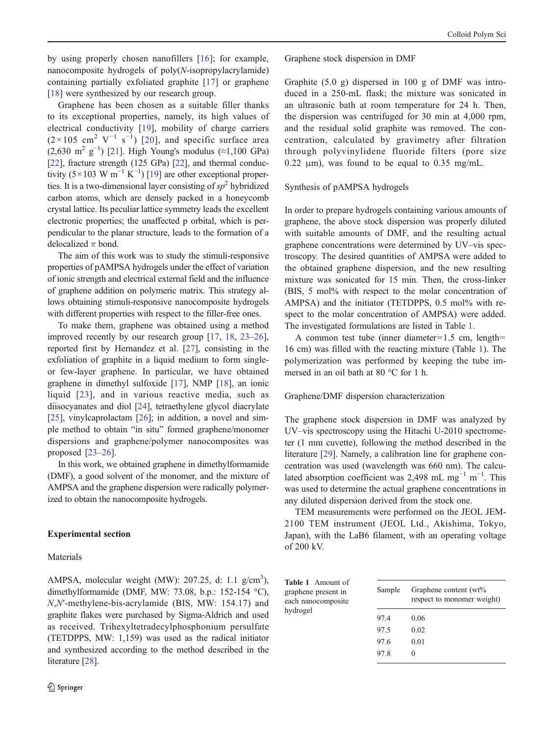by using properly chosen nanofillers [\[16](#page-6-0)]; for example, nanocomposite hydrogels of poly(N-isopropylacrylamide) containing partially exfoliated graphite [[17\]](#page-6-0) or graphene [\[18](#page-6-0)] were synthesized by our research group.

Graphene has been chosen as a suitable filler thanks to its exceptional properties, namely, its high values of electrical conductivity [\[19\]](#page-6-0), mobility of charge carriers  $(2 \times 105 \text{ cm}^2 \text{ V}^{-1} \text{ s}^{-1})$  [[20](#page-6-0)], and specific surface area  $(2,630 \text{ m}^2 \text{ g}^{-1})$  [[21](#page-6-0)]. High Young's modulus (≈1,100 GPa) [\[22\]](#page-6-0), fracture strength (125 GPa) [[22](#page-6-0)], and thermal conduc-tivity (5×103 W m<sup>-1</sup> K<sup>-1</sup>) [[19\]](#page-6-0) are other exceptional properties. It is a two-dimensional layer consisting of  $sp<sup>2</sup>$  hybridized carbon atoms, which are densely packed in a honeycomb crystal lattice. Its peculiar lattice symmetry leads the excellent electronic properties; the unaffected p orbital, which is perpendicular to the planar structure, leads to the formation of a delocalized  $\pi$  bond.

The aim of this work was to study the stimuli-responsive properties of pAMPSA hydrogels under the effect of variation of ionic strength and electrical external field and the influence of graphene addition on polymeric matrix. This strategy allows obtaining stimuli-responsive nanocomposite hydrogels with different properties with respect to the filler-free ones.

To make them, graphene was obtained using a method improved recently by our research group [[17,](#page-6-0) [18](#page-6-0), [23](#page-6-0)–[26](#page-6-0)], reported first by Hernandez et al. [[27\]](#page-6-0), consisting in the exfoliation of graphite in a liquid medium to form singleor few-layer graphene. In particular, we have obtained graphene in dimethyl sulfoxide [\[17](#page-6-0)], NMP [[18\]](#page-6-0), an ionic liquid [[23](#page-6-0)], and in various reactive media, such as diisocyanates and diol [\[24](#page-6-0)], tetraethylene glycol diacrylate [\[25](#page-6-0)], vinylcaprolactam [\[26](#page-6-0)]; in addition, a novel and simple method to obtain "in situ" formed graphene/monomer dispersions and graphene/polymer nanocomposites was proposed [[23](#page-6-0)–[26\]](#page-6-0).

In this work, we obtained graphene in dimethylformamide (DMF), a good solvent of the monomer, and the mixture of AMPSA and the graphene dispersion were radically polymerized to obtain the nanocomposite hydrogels.

# Experimental section

# Materials

AMPSA, molecular weight (MW): 207.25, d: 1.1  $g/cm<sup>3</sup>$ ), dimethylformamide (DMF, MW: 73.08, b.p.: 152-154 °C), N,N′-methylene-bis-acrylamide (BIS, MW: 154.17) and graphite flakes were purchased by Sigma-Aldrich and used as received. Trihexyltetradecylphosphonium persulfate (TETDPPS, MW: 1,159) was used as the radical initiator and synthesized according to the method described in the literature [\[28\]](#page-6-0).

Graphene stock dispersion in DMF

Graphite (5.0 g) dispersed in 100 g of DMF was introduced in a 250-mL flask; the mixture was sonicated in an ultrasonic bath at room temperature for 24 h. Then, the dispersion was centrifuged for 30 min at 4,000 rpm, and the residual solid graphite was removed. The concentration, calculated by gravimetry after filtration through polyvinylidene fluoride filters (pore size 0.22  $\mu$ m), was found to be equal to 0.35 mg/mL.

Synthesis of pAMPSA hydrogels

In order to prepare hydrogels containing various amounts of graphene, the above stock dispersion was properly diluted with suitable amounts of DMF, and the resulting actual graphene concentrations were determined by UV–vis spectroscopy. The desired quantities of AMPSA were added to the obtained graphene dispersion, and the new resulting mixture was sonicated for 15 min. Then, the cross-linker (BIS, 5 mol% with respect to the molar concentration of AMPSA) and the initiator (TETDPPS, 0.5 mol% with respect to the molar concentration of AMPSA) were added. The investigated formulations are listed in Table 1.

A common test tube (inner diameter=1.5 cm, length= 16 cm) was filled with the reacting mixture (Table 1). The polymerization was performed by keeping the tube immersed in an oil bath at 80 °C for 1 h.

# Graphene/DMF dispersion characterization

The graphene stock dispersion in DMF was analyzed by UV–vis spectroscopy using the Hitachi U-2010 spectrometer (1 mm cuvette), following the method described in the literature [[29\]](#page-6-0). Namely, a calibration line for graphene concentration was used (wavelength was 660 nm). The calculated absorption coefficient was 2,498 mL mg<sup>-1</sup> m<sup>-1</sup>. This was used to determine the actual graphene concentrations in any diluted dispersion derived from the stock one.

TEM measurements were performed on the JEOL JEM-2100 TEM instrument (JEOL Ltd., Akishima, Tokyo, Japan), with the LaB6 filament, with an operating voltage of 200 kV.

Table 1 Amount of graphene present in each nanocomposite hydrogel

| Sample | Graphene content (wt%)<br>respect to monomer weight) |
|--------|------------------------------------------------------|
| 97.4   | 0.06                                                 |
| 97.5   | 0.02                                                 |
| 97.6   | 0.01                                                 |
| 97.8   | 0                                                    |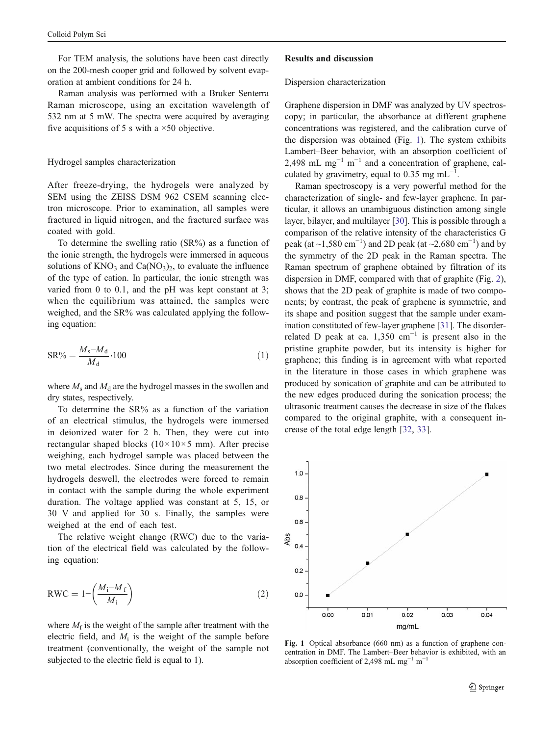<span id="page-2-0"></span>For TEM analysis, the solutions have been cast directly on the 200-mesh cooper grid and followed by solvent evaporation at ambient conditions for 24 h.

Raman analysis was performed with a Bruker Senterra Raman microscope, using an excitation wavelength of 532 nm at 5 mW. The spectra were acquired by averaging five acquisitions of 5 s with a  $\times$  50 objective.

## Hydrogel samples characterization

After freeze-drying, the hydrogels were analyzed by SEM using the ZEISS DSM 962 CSEM scanning electron microscope. Prior to examination, all samples were fractured in liquid nitrogen, and the fractured surface was coated with gold.

To determine the swelling ratio (SR%) as a function of the ionic strength, the hydrogels were immersed in aqueous solutions of  $KNO_3$  and  $Ca(NO_3)_2$ , to evaluate the influence of the type of cation. In particular, the ionic strength was varied from 0 to 0.1, and the pH was kept constant at 3; when the equilibrium was attained, the samples were weighed, and the SR% was calculated applying the following equation:

$$
SR\% = \frac{M_s - M_d}{M_d} \cdot 100\tag{1}
$$

where  $M_s$  and  $M_d$  are the hydrogel masses in the swollen and dry states, respectively.

To determine the SR% as a function of the variation of an electrical stimulus, the hydrogels were immersed in deionized water for 2 h. Then, they were cut into rectangular shaped blocks  $(10 \times 10 \times 5 \text{ mm})$ . After precise weighing, each hydrogel sample was placed between the two metal electrodes. Since during the measurement the hydrogels deswell, the electrodes were forced to remain in contact with the sample during the whole experiment duration. The voltage applied was constant at 5, 15, or 30 V and applied for 30 s. Finally, the samples were weighed at the end of each test.

The relative weight change (RWC) due to the variation of the electrical field was calculated by the following equation:

$$
RWC = 1 - \left(\frac{M_i - M_f}{M_i}\right) \tag{2}
$$

where  $M_f$  is the weight of the sample after treatment with the electric field, and  $M_i$  is the weight of the sample before treatment (conventionally, the weight of the sample not subjected to the electric field is equal to 1).

### Results and discussion

### Dispersion characterization

Graphene dispersion in DMF was analyzed by UV spectroscopy; in particular, the absorbance at different graphene concentrations was registered, and the calibration curve of the dispersion was obtained (Fig. 1). The system exhibits Lambert–Beer behavior, with an absorption coefficient of 2,498 mL mg<sup>-1</sup> m<sup>-1</sup> and a concentration of graphene, calculated by gravimetry, equal to 0.35 mg mL<sup>-1</sup>.

Raman spectroscopy is a very powerful method for the characterization of single- and few-layer graphene. In particular, it allows an unambiguous distinction among single layer, bilayer, and multilayer [[30\]](#page-6-0). This is possible through a comparison of the relative intensity of the characteristics G peak (at ~1,580 cm<sup>-1</sup>) and 2D peak (at ~2,680 cm<sup>-1</sup>) and by the symmetry of the 2D peak in the Raman spectra. The Raman spectrum of graphene obtained by filtration of its dispersion in DMF, compared with that of graphite (Fig. [2\)](#page-3-0), shows that the 2D peak of graphite is made of two components; by contrast, the peak of graphene is symmetric, and its shape and position suggest that the sample under examination constituted of few-layer graphene [\[31](#page-6-0)]. The disorderrelated D peak at ca. 1,350 cm<sup>-1</sup> is present also in the pristine graphite powder, but its intensity is higher for graphene; this finding is in agreement with what reported in the literature in those cases in which graphene was produced by sonication of graphite and can be attributed to the new edges produced during the sonication process; the ultrasonic treatment causes the decrease in size of the flakes compared to the original graphite, with a consequent increase of the total edge length [\[32,](#page-6-0) [33](#page-6-0)].



Fig. 1 Optical absorbance (660 nm) as a function of graphene concentration in DMF. The Lambert–Beer behavior is exhibited, with an absorption coefficient of 2,498 mL mg<sup>-1</sup> m<sup>-1</sup>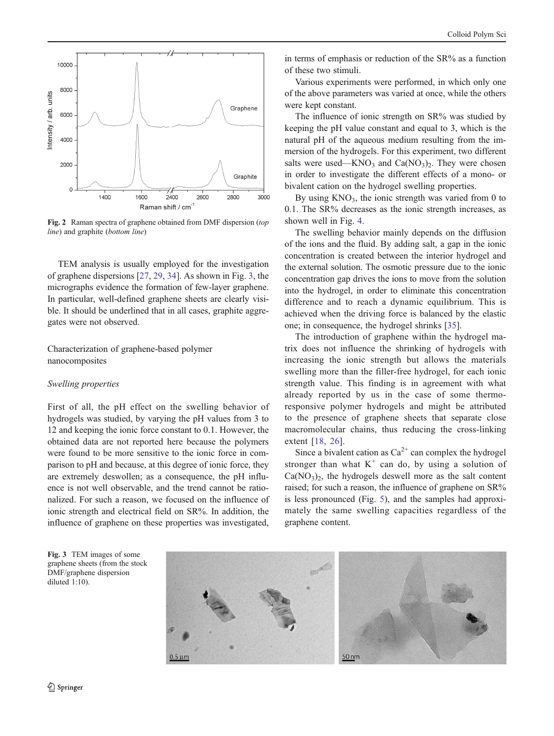

<span id="page-3-0"></span>

Fig. 2 Raman spectra of graphene obtained from DMF dispersion (top line) and graphite (bottom line)

TEM analysis is usually employed for the investigation of graphene dispersions [\[27](#page-6-0), [29,](#page-6-0) [34\]](#page-6-0). As shown in Fig. 3, the micrographs evidence the formation of few-layer graphene. In particular, well-defined graphene sheets are clearly visible. It should be underlined that in all cases, graphite aggregates were not observed.

Characterization of graphene-based polymer nanocomposites

### Swelling properties

First of all, the pH effect on the swelling behavior of hydrogels was studied, by varying the pH values from 3 to 12 and keeping the ionic force constant to 0.1. However, the obtained data are not reported here because the polymers were found to be more sensitive to the ionic force in comparison to pH and because, at this degree of ionic force, they are extremely deswollen; as a consequence, the pH influence is not well observable, and the trend cannot be rationalized. For such a reason, we focused on the influence of ionic strength and electrical field on SR%. In addition, the influence of graphene on these properties was investigated, in terms of emphasis or reduction of the SR% as a function of these two stimuli.

Various experiments were performed, in which only one of the above parameters was varied at once, while the others were kept constant.

The influence of ionic strength on SR% was studied by keeping the pH value constant and equal to 3, which is the natural pH of the aqueous medium resulting from the immersion of the hydrogels. For this experiment, two different salts were used—KNO<sub>3</sub> and  $Ca(NO<sub>3</sub>)<sub>2</sub>$ . They were chosen in order to investigate the different effects of a mono- or bivalent cation on the hydrogel swelling properties.

By using  $KNO_3$ , the ionic strength was varied from 0 to 0.1. The SR% decreases as the ionic strength increases, as shown well in Fig. [4](#page-4-0).

The swelling behavior mainly depends on the diffusion of the ions and the fluid. By adding salt, a gap in the ionic concentration is created between the interior hydrogel and the external solution. The osmotic pressure due to the ionic concentration gap drives the ions to move from the solution into the hydrogel, in order to eliminate this concentration difference and to reach a dynamic equilibrium. This is achieved when the driving force is balanced by the elastic one; in consequence, the hydrogel shrinks [\[35](#page-6-0)].

The introduction of graphene within the hydrogel matrix does not influence the shrinking of hydrogels with increasing the ionic strength but allows the materials swelling more than the filler-free hydrogel, for each ionic strength value. This finding is in agreement with what already reported by us in the case of some thermoresponsive polymer hydrogels and might be attributed to the presence of graphene sheets that separate close macromolecular chains, thus reducing the cross-linking extent [\[18](#page-6-0), [26](#page-6-0)].

Since a bivalent cation as  $Ca^{2+}$  can complex the hydrogel stronger than what  $K^+$  can do, by using a solution of  $Ca(NO<sub>3</sub>)<sub>2</sub>$ , the hydrogels deswell more as the salt content raised; for such a reason, the influence of graphene on SR% is less pronounced (Fig. [5](#page-4-0)), and the samples had approximately the same swelling capacities regardless of the graphene content.

Fig. 3 TEM images of some graphene sheets (from the stock DMF/graphene dispersion diluted 1:10).

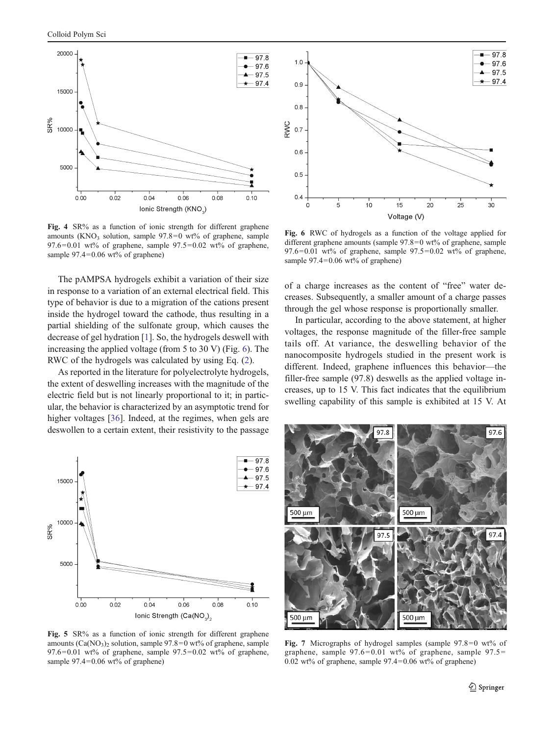<span id="page-4-0"></span>

Fig. 4 SR% as a function of ionic strength for different graphene amounts (KNO<sub>3</sub> solution, sample  $97.8=0$  wt% of graphene, sample  $97.6=0.01$  wt% of graphene, sample  $97.5=0.02$  wt% of graphene. sample 97.4=0.06 wt% of graphene)

The pAMPSA hydrogels exhibit a variation of their size in response to a variation of an external electrical field. This type of behavior is due to a migration of the cations present inside the hydrogel toward the cathode, thus resulting in a partial shielding of the sulfonate group, which causes the decrease of gel hydration [\[1](#page-5-0)]. So, the hydrogels deswell with increasing the applied voltage (from 5 to 30 V) (Fig. 6). The RWC of the hydrogels was calculated by using Eq. ([2\)](#page-2-0).

As reported in the literature for polyelectrolyte hydrogels, the extent of deswelling increases with the magnitude of the electric field but is not linearly proportional to it; in particular, the behavior is characterized by an asymptotic trend for higher voltages [[36\]](#page-6-0). Indeed, at the regimes, when gels are deswollen to a certain extent, their resistivity to the passage



Fig. 5 SR% as a function of ionic strength for different graphene amounts  $(CaNO_3)$ <sub>2</sub> solution, sample 97.8=0 wt% of graphene, sample 97.6=0.01 wt% of graphene, sample  $97.5=0.02$  wt% of graphene, sample  $97.4=0.06$  wt% of graphene)



Fig. 6 RWC of hydrogels as a function of the voltage applied for different graphene amounts (sample 97.8=0 wt% of graphene, sample 97.6=0.01 wt% of graphene, sample  $97.5=0.02$  wt% of graphene, sample  $97.4=0.06$  wt% of graphene)

of a charge increases as the content of "free" water decreases. Subsequently, a smaller amount of a charge passes through the gel whose response is proportionally smaller.

In particular, according to the above statement, at higher voltages, the response magnitude of the filler-free sample tails off. At variance, the deswelling behavior of the nanocomposite hydrogels studied in the present work is different. Indeed, graphene influences this behavior—the filler-free sample (97.8) deswells as the applied voltage increases, up to 15 V. This fact indicates that the equilibrium swelling capability of this sample is exhibited at 15 V. At



Fig. 7 Micrographs of hydrogel samples (sample 97.8=0 wt% of graphene, sample  $97.6=0.01$  wt% of graphene, sample  $97.5=$ 0.02 wt% of graphene, sample  $97.4=0.06$  wt% of graphene)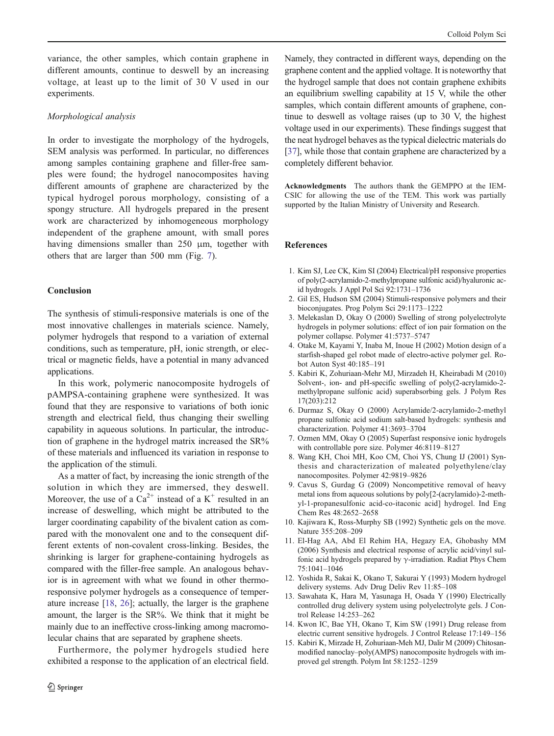<span id="page-5-0"></span>variance, the other samples, which contain graphene in different amounts, continue to deswell by an increasing voltage, at least up to the limit of 30 V used in our experiments.

## Morphological analysis

In order to investigate the morphology of the hydrogels, SEM analysis was performed. In particular, no differences among samples containing graphene and filler-free samples were found; the hydrogel nanocomposites having different amounts of graphene are characterized by the typical hydrogel porous morphology, consisting of a spongy structure. All hydrogels prepared in the present work are characterized by inhomogeneous morphology independent of the graphene amount, with small pores having dimensions smaller than 250 μm, together with others that are larger than 500 mm (Fig. [7\)](#page-4-0).

## Conclusion

The synthesis of stimuli-responsive materials is one of the most innovative challenges in materials science. Namely, polymer hydrogels that respond to a variation of external conditions, such as temperature, pH, ionic strength, or electrical or magnetic fields, have a potential in many advanced applications.

In this work, polymeric nanocomposite hydrogels of pAMPSA-containing graphene were synthesized. It was found that they are responsive to variations of both ionic strength and electrical field, thus changing their swelling capability in aqueous solutions. In particular, the introduction of graphene in the hydrogel matrix increased the SR% of these materials and influenced its variation in response to the application of the stimuli.

As a matter of fact, by increasing the ionic strength of the solution in which they are immersed, they deswell. Moreover, the use of a  $Ca^{2+}$  instead of a K<sup>+</sup> resulted in an increase of deswelling, which might be attributed to the larger coordinating capability of the bivalent cation as compared with the monovalent one and to the consequent different extents of non-covalent cross-linking. Besides, the shrinking is larger for graphene-containing hydrogels as compared with the filler-free sample. An analogous behavior is in agreement with what we found in other thermoresponsive polymer hydrogels as a consequence of temperature increase [\[18](#page-6-0), [26](#page-6-0)]; actually, the larger is the graphene amount, the larger is the SR%. We think that it might be mainly due to an ineffective cross-linking among macromolecular chains that are separated by graphene sheets.

Furthermore, the polymer hydrogels studied here exhibited a response to the application of an electrical field. Namely, they contracted in different ways, depending on the graphene content and the applied voltage. It is noteworthy that the hydrogel sample that does not contain graphene exhibits an equilibrium swelling capability at 15 V, while the other samples, which contain different amounts of graphene, continue to deswell as voltage raises (up to 30 V, the highest voltage used in our experiments). These findings suggest that the neat hydrogel behaves as the typical dielectric materials do [\[37](#page-6-0)], while those that contain graphene are characterized by a completely different behavior.

Acknowledgments The authors thank the GEMPPO at the IEM-CSIC for allowing the use of the TEM. This work was partially supported by the Italian Ministry of University and Research.

#### References

- 1. Kim SJ, Lee CK, Kim SI (2004) Electrical/pH responsive properties of poly(2-acrylamido-2-methylpropane sulfonic acid)/hyaluronic acid hydrogels. J Appl Pol Sci 92:1731–1736
- 2. Gil ES, Hudson SM (2004) Stimuli-responsive polymers and their bioconjugates. Prog Polym Sci 29:1173–1222
- 3. Melekaslan D, Okay O (2000) Swelling of strong polyelectrolyte hydrogels in polymer solutions: effect of ion pair formation on the polymer collapse. Polymer 41:5737–5747
- 4. Otake M, Kayami Y, Inaba M, Inoue H (2002) Motion design of a starfish-shaped gel robot made of electro-active polymer gel. Robot Auton Syst 40:185–191
- 5. Kabiri K, Zohuriaan-Mehr MJ, Mirzadeh H, Kheirabadi M (2010) Solvent-, ion- and pH-specific swelling of poly(2-acrylamido-2 methylpropane sulfonic acid) superabsorbing gels. J Polym Res 17(203):212
- 6. Durmaz S, Okay O (2000) Acrylamide/2-acrylamido-2-methyl propane sulfonic acid sodium salt-based hydrogels: synthesis and characterization. Polymer 41:3693–3704
- 7. Ozmen MM, Okay O (2005) Superfast responsive ionic hydrogels with controllable pore size. Polymer 46:8119–8127
- 8. Wang KH, Choi MH, Koo CM, Choi YS, Chung IJ (2001) Synthesis and characterization of maleated polyethylene/clay nanocomposites. Polymer 42:9819–9826
- 9. Cavus S, Gurdag G (2009) Noncompetitive removal of heavy metal ions from aqueous solutions by poly[2-(acrylamido)-2-methyl-1-propanesulfonic acid-co-itaconic acid] hydrogel. Ind Eng Chem Res 48:2652–2658
- 10. Kajiwara K, Ross-Murphy SB (1992) Synthetic gels on the move. Nature 355:208–209
- 11. El-Hag AA, Abd El Rehim HA, Hegazy EA, Ghobashy MM (2006) Synthesis and electrical response of acrylic acid/vinyl sulfonic acid hydrogels prepared by  $\gamma$ -irradiation. Radiat Phys Chem 75:1041–1046
- 12. Yoshida R, Sakai K, Okano T, Sakurai Y (1993) Modern hydrogel delivery systems. Adv Drug Deliv Rev 11:85–108
- 13. Sawahata K, Hara M, Yasunaga H, Osada Y (1990) Electrically controlled drug delivery system using polyelectrolyte gels. J Control Release 14:253–262
- 14. Kwon IC, Bae YH, Okano T, Kim SW (1991) Drug release from electric current sensitive hydrogels. J Control Release 17:149–156
- 15. Kabiri K, Mirzade H, Zohuriaan-Meh MJ, Dalir M (2009) Chitosanmodified nanoclay–poly(AMPS) nanocomposite hydrogels with improved gel strength. Polym Int 58:1252–1259